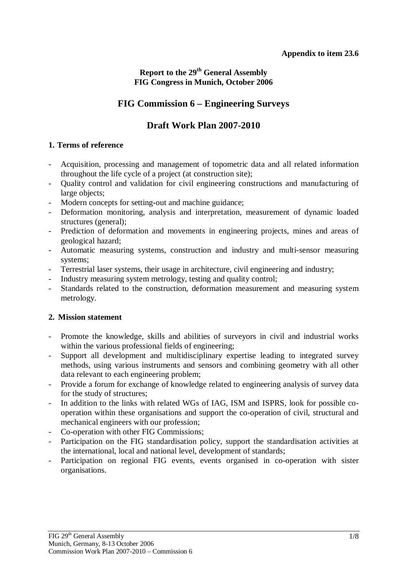# **Report to the 29th General Assembly FIG Congress in Munich, October 2006**

# **FIG Commission 6 – Engineering Surveys**

# **Draft Work Plan 2007-2010**

## **1. Terms of reference**

- Acquisition, processing and management of topometric data and all related information throughout the life cycle of a project (at construction site);
- Quality control and validation for civil engineering constructions and manufacturing of large objects;
- Modern concepts for setting-out and machine guidance;
- Deformation monitoring, analysis and interpretation, measurement of dynamic loaded structures (general);
- Prediction of deformation and movements in engineering projects, mines and areas of geological hazard;
- Automatic measuring systems, construction and industry and multi-sensor measuring systems;
- Terrestrial laser systems, their usage in architecture, civil engineering and industry;
- Industry measuring system metrology, testing and quality control;
- Standards related to the construction, deformation measurement and measuring system metrology.

## **2. Mission statement**

- Promote the knowledge, skills and abilities of surveyors in civil and industrial works within the various professional fields of engineering;
- Support all development and multidisciplinary expertise leading to integrated survey methods, using various instruments and sensors and combining geometry with all other data relevant to each engineering problem;
- Provide a forum for exchange of knowledge related to engineering analysis of survey data for the study of structures;
- In addition to the links with related WGs of IAG, ISM and ISPRS, look for possible cooperation within these organisations and support the co-operation of civil, structural and mechanical engineers with our profession;
- Co-operation with other FIG Commissions;
- Participation on the FIG standardisation policy, support the standardisation activities at the international, local and national level, development of standards;
- Participation on regional FIG events, events organised in co-operation with sister organisations.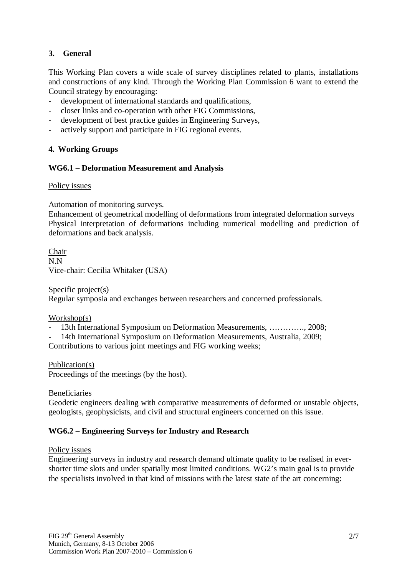## **3. General**

This Working Plan covers a wide scale of survey disciplines related to plants, installations and constructions of any kind. Through the Working Plan Commission 6 want to extend the Council strategy by encouraging:

- development of international standards and qualifications,
- closer links and co-operation with other FIG Commissions,
- development of best practice guides in Engineering Surveys,
- actively support and participate in FIG regional events.

## **4. Working Groups**

## **WG6.1 – Deformation Measurement and Analysis**

#### Policy issues

Automation of monitoring surveys.

Enhancement of geometrical modelling of deformations from integrated deformation surveys Physical interpretation of deformations including numerical modelling and prediction of deformations and back analysis.

Chair N.N Vice-chair: Cecilia Whitaker (USA)

Specific project(s)

Regular symposia and exchanges between researchers and concerned professionals.

#### Workshop(s)

- 13th International Symposium on Deformation Measurements, …………., 2008;
- 14th International Symposium on Deformation Measurements, Australia, 2009;

Contributions to various joint meetings and FIG working weeks;

#### Publication(s)

Proceedings of the meetings (by the host).

#### Beneficiaries

Geodetic engineers dealing with comparative measurements of deformed or unstable objects, geologists, geophysicists, and civil and structural engineers concerned on this issue.

#### **WG6.2 – Engineering Surveys for Industry and Research**

#### Policy issues

Engineering surveys in industry and research demand ultimate quality to be realised in evershorter time slots and under spatially most limited conditions. WG2's main goal is to provide the specialists involved in that kind of missions with the latest state of the art concerning: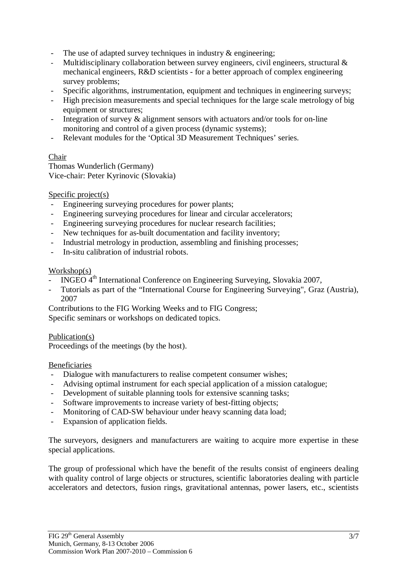- The use of adapted survey techniques in industry  $\&$  engineering;
- Multidisciplinary collaboration between survey engineers, civil engineers, structural & mechanical engineers, R&D scientists - for a better approach of complex engineering survey problems;
- Specific algorithms, instrumentation, equipment and techniques in engineering surveys;
- High precision measurements and special techniques for the large scale metrology of big equipment or structures;
- Integration of survey & alignment sensors with actuators and/or tools for on-line monitoring and control of a given process (dynamic systems);
- Relevant modules for the 'Optical 3D Measurement Techniques' series.

#### Chair

Thomas Wunderlich (Germany) Vice-chair: Peter Kyrinovic (Slovakia)

#### Specific project(s)

- Engineering surveying procedures for power plants;
- Engineering surveying procedures for linear and circular accelerators;
- Engineering surveying procedures for nuclear research facilities;
- New techniques for as-built documentation and facility inventory;
- Industrial metrology in production, assembling and finishing processes;
- In-situ calibration of industrial robots.

#### Workshop(s)

- INGEO 4<sup>th</sup> International Conference on Engineering Surveying, Slovakia 2007,
- Tutorials as part of the "International Course for Engineering Surveying", Graz (Austria), 2007

Contributions to the FIG Working Weeks and to FIG Congress; Specific seminars or workshops on dedicated topics.

# Publication(s)

Proceedings of the meetings (by the host).

#### Beneficiaries

- Dialogue with manufacturers to realise competent consumer wishes;
- Advising optimal instrument for each special application of a mission catalogue;
- Development of suitable planning tools for extensive scanning tasks;
- Software improvements to increase variety of best-fitting objects;
- Monitoring of CAD-SW behaviour under heavy scanning data load;
- Expansion of application fields.

The surveyors, designers and manufacturers are waiting to acquire more expertise in these special applications.

The group of professional which have the benefit of the results consist of engineers dealing with quality control of large objects or structures, scientific laboratories dealing with particle accelerators and detectors, fusion rings, gravitational antennas, power lasers, etc., scientists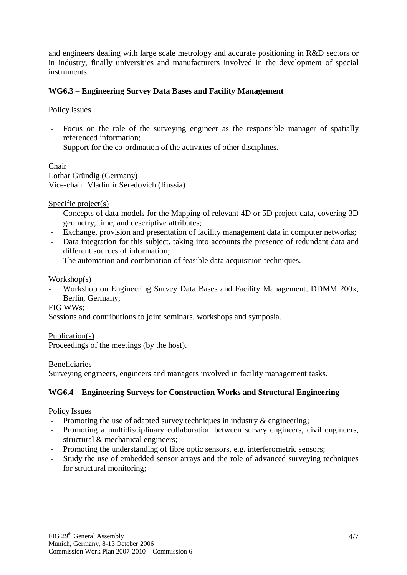and engineers dealing with large scale metrology and accurate positioning in R&D sectors or in industry, finally universities and manufacturers involved in the development of special instruments.

## **WG6.3 – Engineering Survey Data Bases and Facility Management**

## Policy issues

- Focus on the role of the surveying engineer as the responsible manager of spatially referenced information;
- Support for the co-ordination of the activities of other disciplines.

# Chair

Lothar Gründig (Germany) Vice-chair: Vladimir Seredovich (Russia)

## Specific project(s)

- Concepts of data models for the Mapping of relevant 4D or 5D project data, covering 3D geometry, time, and descriptive attributes;
- Exchange, provision and presentation of facility management data in computer networks;<br>- Data integration for this subject, taking into accounts the presence of redundant data and
- Data integration for this subject, taking into accounts the presence of redundant data and different sources of information;
- The automation and combination of feasible data acquisition techniques.

## Workshop(s)

- Workshop on Engineering Survey Data Bases and Facility Management, DDMM 200x, Berlin, Germany;

#### FIG WWs;

Sessions and contributions to joint seminars, workshops and symposia.

## Publication(s)

Proceedings of the meetings (by the host).

#### **Beneficiaries**

Surveying engineers, engineers and managers involved in facility management tasks.

## **WG6.4 – Engineering Surveys for Construction Works and Structural Engineering**

#### Policy Issues

- Promoting the use of adapted survey techniques in industry & engineering;
- Promoting a multidisciplinary collaboration between survey engineers, civil engineers, structural & mechanical engineers;
- Promoting the understanding of fibre optic sensors, e.g. interferometric sensors;
- Study the use of embedded sensor arrays and the role of advanced surveying techniques for structural monitoring;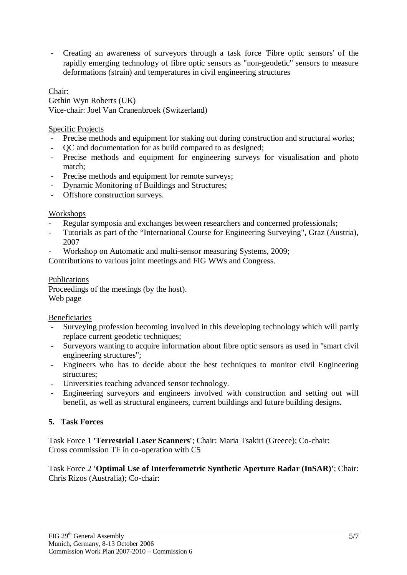- Creating an awareness of surveyors through a task force 'Fibre optic sensors' of the rapidly emerging technology of fibre optic sensors as "non-geodetic" sensors to measure deformations (strain) and temperatures in civil engineering structures

## Chair:

Gethin Wyn Roberts (UK) Vice-chair: Joel Van Cranenbroek (Switzerland)

Specific Projects

- Precise methods and equipment for staking out during construction and structural works;
- QC and documentation for as build compared to as designed;
- Precise methods and equipment for engineering surveys for visualisation and photo match;
- Precise methods and equipment for remote surveys;
- Dynamic Monitoring of Buildings and Structures;
- Offshore construction surveys.

## Workshops

- Regular symposia and exchanges between researchers and concerned professionals;
- Tutorials as part of the "International Course for Engineering Surveying", Graz (Austria), 2007
- Workshop on Automatic and multi-sensor measuring Systems, 2009;

Contributions to various joint meetings and FIG WWs and Congress.

#### Publications Proceedings of the meetings (by the host). Web page

Beneficiaries

- Surveying profession becoming involved in this developing technology which will partly replace current geodetic techniques;
- Surveyors wanting to acquire information about fibre optic sensors as used in "smart civil engineering structures";
- Engineers who has to decide about the best techniques to monitor civil Engineering structures;
- Universities teaching advanced sensor technology.
- Engineering surveyors and engineers involved with construction and setting out will benefit, as well as structural engineers, current buildings and future building designs.

## **5. Task Forces**

Task Force 1 **'Terrestrial Laser Scanners'**; Chair: Maria Tsakiri (Greece); Co-chair: Cross commission TF in co-operation with C5

Task Force 2 **'Optimal Use of Interferometric Synthetic Aperture Radar (InSAR)'**; Chair: Chris Rizos (Australia); Co-chair: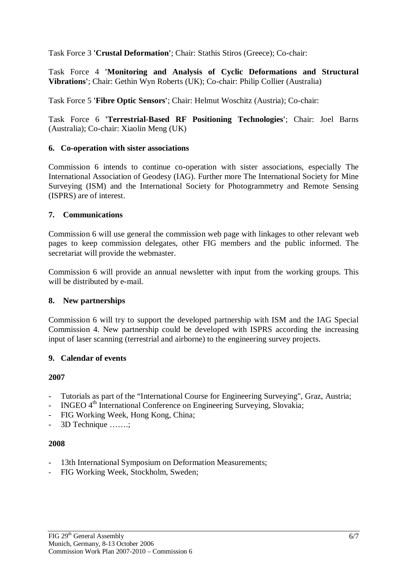Task Force 3 **'Crustal Deformation'**; Chair: Stathis Stiros (Greece); Co-chair:

Task Force 4 **'Monitoring and Analysis of Cyclic Deformations and Structural Vibrations'**; Chair: Gethin Wyn Roberts (UK); Co-chair: Philip Collier (Australia)

Task Force 5 **'Fibre Optic Sensors'**; Chair: Helmut Woschitz (Austria); Co-chair:

Task Force 6 **'Terrestrial-Based RF Positioning Technologies'**; Chair: Joel Barns (Australia); Co-chair: Xiaolin Meng (UK)

## **6. Co-operation with sister associations**

Commission 6 intends to continue co-operation with sister associations, especially The International Association of Geodesy (IAG). Further more The International Society for Mine Surveying (ISM) and the International Society for Photogrammetry and Remote Sensing (ISPRS) are of interest.

## **7. Communications**

Commission 6 will use general the commission web page with linkages to other relevant web pages to keep commission delegates, other FIG members and the public informed. The secretariat will provide the webmaster.

Commission 6 will provide an annual newsletter with input from the working groups. This will be distributed by e-mail.

#### **8. New partnerships**

Commission 6 will try to support the developed partnership with ISM and the IAG Special Commission 4. New partnership could be developed with ISPRS according the increasing input of laser scanning (terrestrial and airborne) to the engineering survey projects.

#### **9. Calendar of events**

## **2007**

- Tutorials as part of the "International Course for Engineering Surveying", Graz, Austria;
- INGEO 4<sup>th</sup> International Conference on Engineering Surveying, Slovakia;
- FIG Working Week, Hong Kong, China;
- 3D Technique …….;

#### **2008**

- 13th International Symposium on Deformation Measurements;
- FIG Working Week, Stockholm, Sweden;